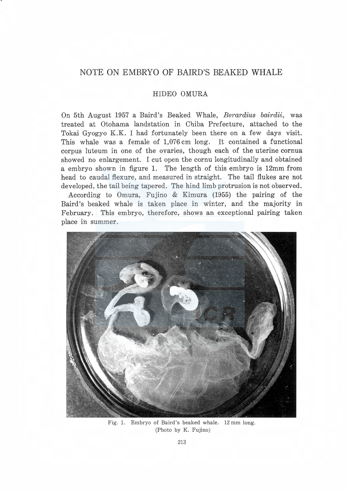## NOTE ON EMBRYO OF BAIRD'S BEAKED WHALE

## HIDEO OMURA

On 5th August 1957 a Baird's Beaked Whale, Berardius bairdii, was treated at Otohama landstation in Chiba Prefecture, attached to the Tokai Gyogyo K.K. I had fortunately been there on a few days visit. This whale was a female of 1,076 cm long. It contained a functional corpus luteum in one of the ovaries, though each of the uterine cornua showed no enlargement. I cut open the cornu longitudinally and obtained a embryo shown in figure 1. The length of this embryo is 12mm from head to caudal flexure, and measured in straight. The tail flukes are not developed, the tail being tapered. The hind limb protrusion is not observed.

According to Omura, Fujino & Kimura (1955) the pairing of the Baird's beaked whale is taken place in winter, and the majority in February. This embryo, therefore, shows an exceptional pairing taken place in summer.



Fig. 1. Embryo of Baird's beaked whale. 12 mm long. (Photo by K. Fujino)